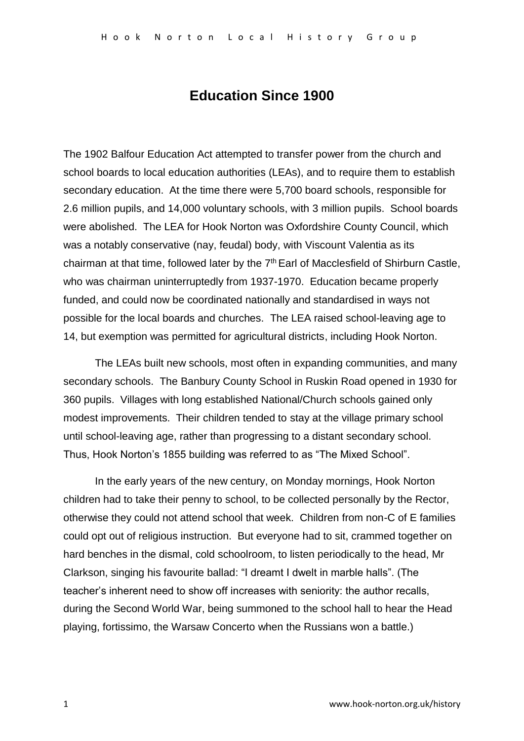# **Education Since 1900**

The 1902 Balfour Education Act attempted to transfer power from the church and school boards to local education authorities (LEAs), and to require them to establish secondary education. At the time there were 5,700 board schools, responsible for 2.6 million pupils, and 14,000 voluntary schools, with 3 million pupils. School boards were abolished. The LEA for Hook Norton was Oxfordshire County Council, which was a notably conservative (nay, feudal) body, with Viscount Valentia as its chairman at that time, followed later by the 7<sup>th</sup> Earl of Macclesfield of Shirburn Castle, who was chairman uninterruptedly from 1937-1970. Education became properly funded, and could now be coordinated nationally and standardised in ways not possible for the local boards and churches. The LEA raised school-leaving age to 14, but exemption was permitted for agricultural districts, including Hook Norton.

The LEAs built new schools, most often in expanding communities, and many secondary schools. The Banbury County School in Ruskin Road opened in 1930 for 360 pupils. Villages with long established National/Church schools gained only modest improvements. Their children tended to stay at the village primary school until school-leaving age, rather than progressing to a distant secondary school. Thus, Hook Norton's 1855 building was referred to as "The Mixed School".

In the early years of the new century, on Monday mornings, Hook Norton children had to take their penny to school, to be collected personally by the Rector, otherwise they could not attend school that week. Children from non-C of E families could opt out of religious instruction. But everyone had to sit, crammed together on hard benches in the dismal, cold schoolroom, to listen periodically to the head, Mr Clarkson, singing his favourite ballad: "I dreamt I dwelt in marble halls". (The teacher's inherent need to show off increases with seniority: the author recalls, during the Second World War, being summoned to the school hall to hear the Head playing, fortissimo, the Warsaw Concerto when the Russians won a battle.)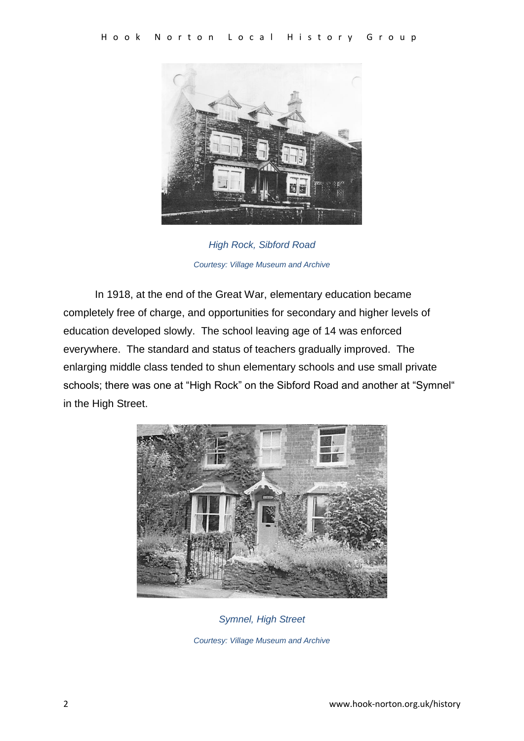

*High Rock, Sibford Road Courtesy: Village Museum and Archive*

In 1918, at the end of the Great War, elementary education became completely free of charge, and opportunities for secondary and higher levels of education developed slowly. The school leaving age of 14 was enforced everywhere. The standard and status of teachers gradually improved. The enlarging middle class tended to shun elementary schools and use small private schools; there was one at "High Rock" on the Sibford Road and another at "Symnel" in the High Street.



*Symnel, High Street Courtesy: Village Museum and Archive*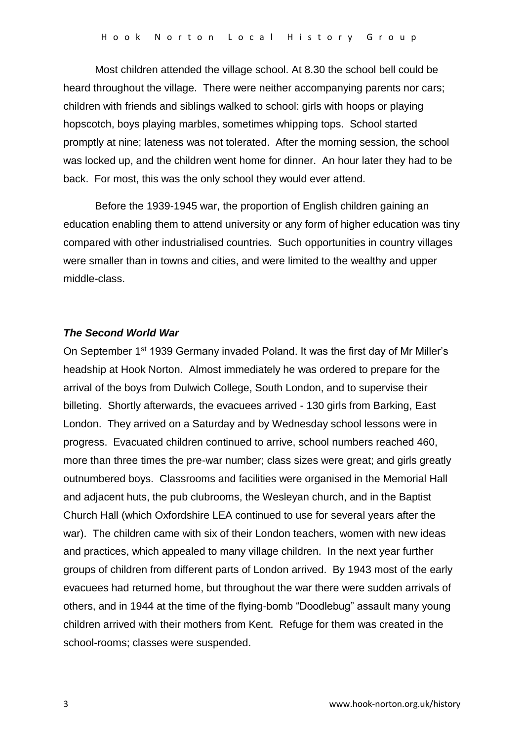Most children attended the village school. At 8.30 the school bell could be heard throughout the village. There were neither accompanying parents nor cars; children with friends and siblings walked to school: girls with hoops or playing hopscotch, boys playing marbles, sometimes whipping tops. School started promptly at nine; lateness was not tolerated. After the morning session, the school was locked up, and the children went home for dinner. An hour later they had to be back. For most, this was the only school they would ever attend.

Before the 1939-1945 war, the proportion of English children gaining an education enabling them to attend university or any form of higher education was tiny compared with other industrialised countries. Such opportunities in country villages were smaller than in towns and cities, and were limited to the wealthy and upper middle-class.

#### *The Second World War*

On September 1st 1939 Germany invaded Poland. It was the first day of Mr Miller's headship at Hook Norton. Almost immediately he was ordered to prepare for the arrival of the boys from Dulwich College, South London, and to supervise their billeting. Shortly afterwards, the evacuees arrived - 130 girls from Barking, East London. They arrived on a Saturday and by Wednesday school lessons were in progress. Evacuated children continued to arrive, school numbers reached 460, more than three times the pre-war number; class sizes were great; and girls greatly outnumbered boys. Classrooms and facilities were organised in the Memorial Hall and adjacent huts, the pub clubrooms, the Wesleyan church, and in the Baptist Church Hall (which Oxfordshire LEA continued to use for several years after the war). The children came with six of their London teachers, women with new ideas and practices, which appealed to many village children. In the next year further groups of children from different parts of London arrived. By 1943 most of the early evacuees had returned home, but throughout the war there were sudden arrivals of others, and in 1944 at the time of the flying-bomb "Doodlebug" assault many young children arrived with their mothers from Kent. Refuge for them was created in the school-rooms; classes were suspended.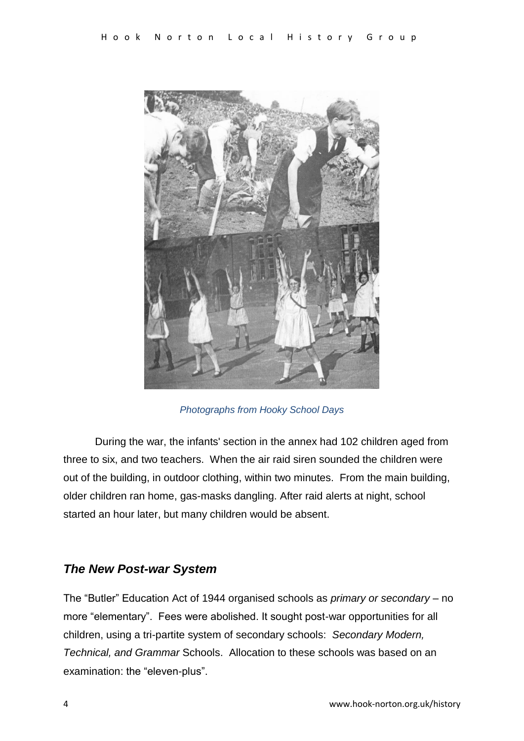

*Photographs from Hooky School Days*

During the war, the infants' section in the annex had 102 children aged from three to six, and two teachers. When the air raid siren sounded the children were out of the building, in outdoor clothing, within two minutes. From the main building, older children ran home, gas-masks dangling. After raid alerts at night, school started an hour later, but many children would be absent.

## *The New Post-war System*

The "Butler" Education Act of 1944 organised schools as *primary or secondary* – no more "elementary". Fees were abolished. It sought post-war opportunities for all children, using a tri-partite system of secondary schools: *Secondary Modern, Technical, and Grammar* Schools. Allocation to these schools was based on an examination: the "eleven-plus".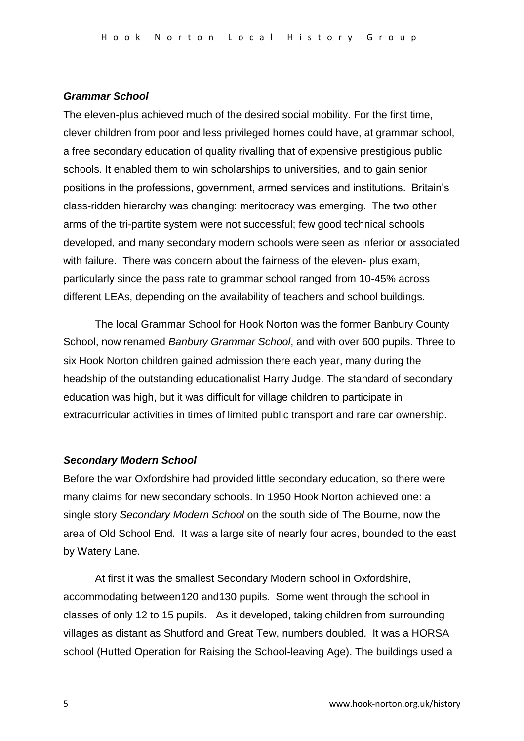#### *Grammar School*

The eleven-plus achieved much of the desired social mobility. For the first time, clever children from poor and less privileged homes could have, at grammar school, a free secondary education of quality rivalling that of expensive prestigious public schools. It enabled them to win scholarships to universities, and to gain senior positions in the professions, government, armed services and institutions. Britain's class-ridden hierarchy was changing: meritocracy was emerging. The two other arms of the tri-partite system were not successful; few good technical schools developed, and many secondary modern schools were seen as inferior or associated with failure. There was concern about the fairness of the eleven- plus exam, particularly since the pass rate to grammar school ranged from 10-45% across different LEAs, depending on the availability of teachers and school buildings.

The local Grammar School for Hook Norton was the former Banbury County School, now renamed *Banbury Grammar School*, and with over 600 pupils. Three to six Hook Norton children gained admission there each year, many during the headship of the outstanding educationalist Harry Judge. The standard of secondary education was high, but it was difficult for village children to participate in extracurricular activities in times of limited public transport and rare car ownership.

#### *Secondary Modern School*

Before the war Oxfordshire had provided little secondary education, so there were many claims for new secondary schools. In 1950 Hook Norton achieved one: a single story *Secondary Modern School* on the south side of The Bourne, now the area of Old School End. It was a large site of nearly four acres, bounded to the east by Watery Lane.

At first it was the smallest Secondary Modern school in Oxfordshire, accommodating between120 and130 pupils. Some went through the school in classes of only 12 to 15 pupils. As it developed, taking children from surrounding villages as distant as Shutford and Great Tew, numbers doubled. It was a HORSA school (Hutted Operation for Raising the School-leaving Age). The buildings used a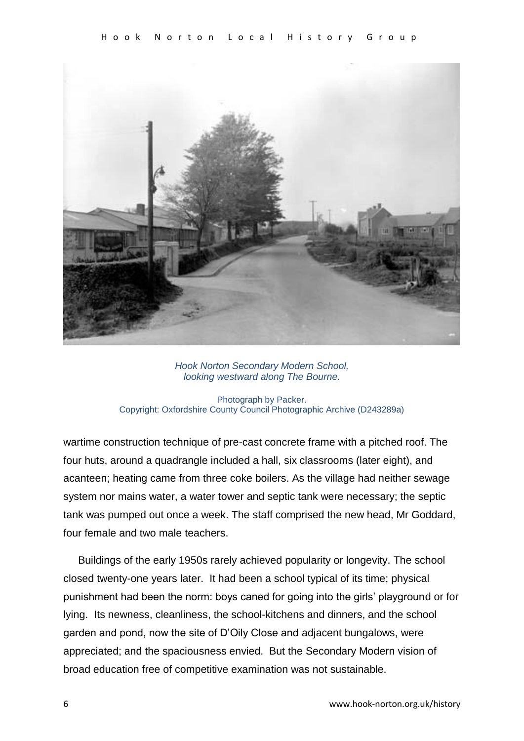

*Hook Norton Secondary Modern School, looking westward along The Bourne.*

Photograph by Packer. Copyright: Oxfordshire County Council Photographic Archive (D243289a)

wartime construction technique of pre-cast concrete frame with a pitched roof. The four huts, around a quadrangle included a hall, six classrooms (later eight), and acanteen; heating came from three coke boilers. As the village had neither sewage system nor mains water, a water tower and septic tank were necessary; the septic tank was pumped out once a week. The staff comprised the new head, Mr Goddard, four female and two male teachers.

 Buildings of the early 1950s rarely achieved popularity or longevity. The school closed twenty-one years later. It had been a school typical of its time; physical punishment had been the norm: boys caned for going into the girls' playground or for lying. Its newness, cleanliness, the school-kitchens and dinners, and the school garden and pond, now the site of D'Oily Close and adjacent bungalows, were appreciated; and the spaciousness envied. But the Secondary Modern vision of broad education free of competitive examination was not sustainable.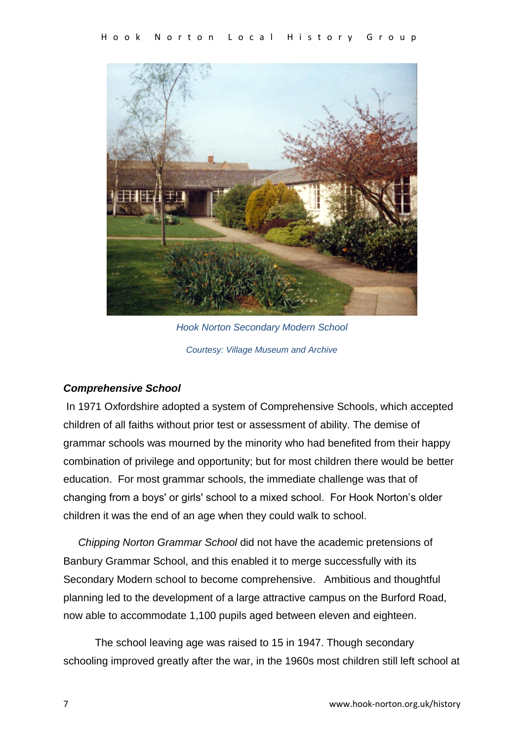

*Hook Norton Secondary Modern School Courtesy: Village Museum and Archive*

### *Comprehensive School*

In 1971 Oxfordshire adopted a system of Comprehensive Schools, which accepted children of all faiths without prior test or assessment of ability. The demise of grammar schools was mourned by the minority who had benefited from their happy combination of privilege and opportunity; but for most children there would be better education. For most grammar schools, the immediate challenge was that of changing from a boys' or girls' school to a mixed school. For Hook Norton's older children it was the end of an age when they could walk to school.

 *Chipping Norton Grammar School* did not have the academic pretensions of Banbury Grammar School, and this enabled it to merge successfully with its Secondary Modern school to become comprehensive. Ambitious and thoughtful planning led to the development of a large attractive campus on the Burford Road, now able to accommodate 1,100 pupils aged between eleven and eighteen.

The school leaving age was raised to 15 in 1947. Though secondary schooling improved greatly after the war, in the 1960s most children still left school at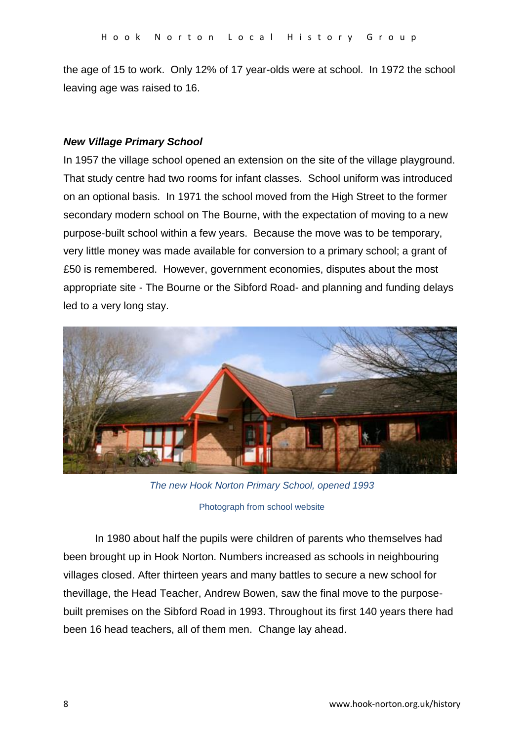the age of 15 to work. Only 12% of 17 year-olds were at school. In 1972 the school leaving age was raised to 16.

### *New Village Primary School*

In 1957 the village school opened an extension on the site of the village playground. That study centre had two rooms for infant classes. School uniform was introduced on an optional basis. In 1971 the school moved from the High Street to the former secondary modern school on The Bourne, with the expectation of moving to a new purpose-built school within a few years. Because the move was to be temporary, very little money was made available for conversion to a primary school; a grant of £50 is remembered. However, government economies, disputes about the most appropriate site - The Bourne or the Sibford Road- and planning and funding delays led to a very long stay.



*The new Hook Norton Primary School, opened 1993*

In 1980 about half the pupils were children of parents who themselves had been brought up in Hook Norton. Numbers increased as schools in neighbouring villages closed. After thirteen years and many battles to secure a new school for thevillage, the Head Teacher, Andrew Bowen, saw the final move to the purposebuilt premises on the Sibford Road in 1993. Throughout its first 140 years there had been 16 head teachers, all of them men. Change lay ahead.

Photograph from school website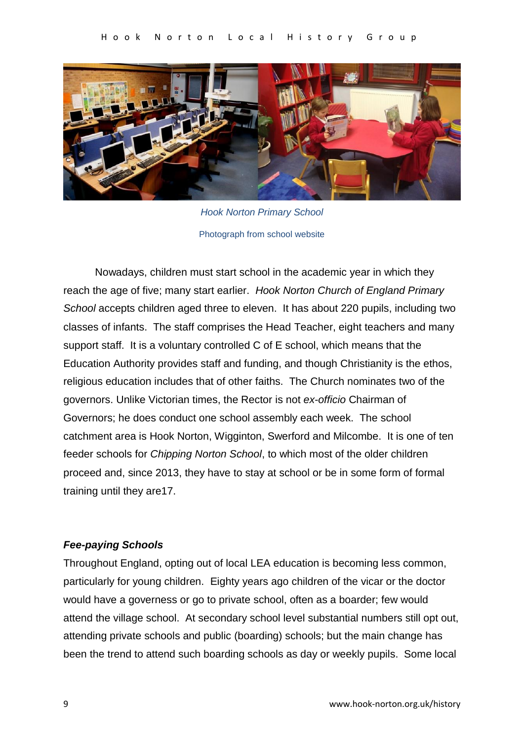

*Hook Norton Primary School* Photograph from school website

Nowadays, children must start school in the academic year in which they reach the age of five; many start earlier. *Hook Norton Church of England Primary School* accepts children aged three to eleven. It has about 220 pupils, including two classes of infants. The staff comprises the Head Teacher, eight teachers and many support staff. It is a voluntary controlled C of E school, which means that the Education Authority provides staff and funding, and though Christianity is the ethos, religious education includes that of other faiths. The Church nominates two of the governors. Unlike Victorian times, the Rector is not *ex-officio* Chairman of Governors; he does conduct one school assembly each week. The school catchment area is Hook Norton, Wigginton, Swerford and Milcombe. It is one of ten feeder schools for *Chipping Norton School*, to which most of the older children proceed and, since 2013, they have to stay at school or be in some form of formal training until they are17.

#### *Fee-paying Schools*

Throughout England, opting out of local LEA education is becoming less common, particularly for young children. Eighty years ago children of the vicar or the doctor would have a governess or go to private school, often as a boarder; few would attend the village school. At secondary school level substantial numbers still opt out, attending private schools and public (boarding) schools; but the main change has been the trend to attend such boarding schools as day or weekly pupils. Some local